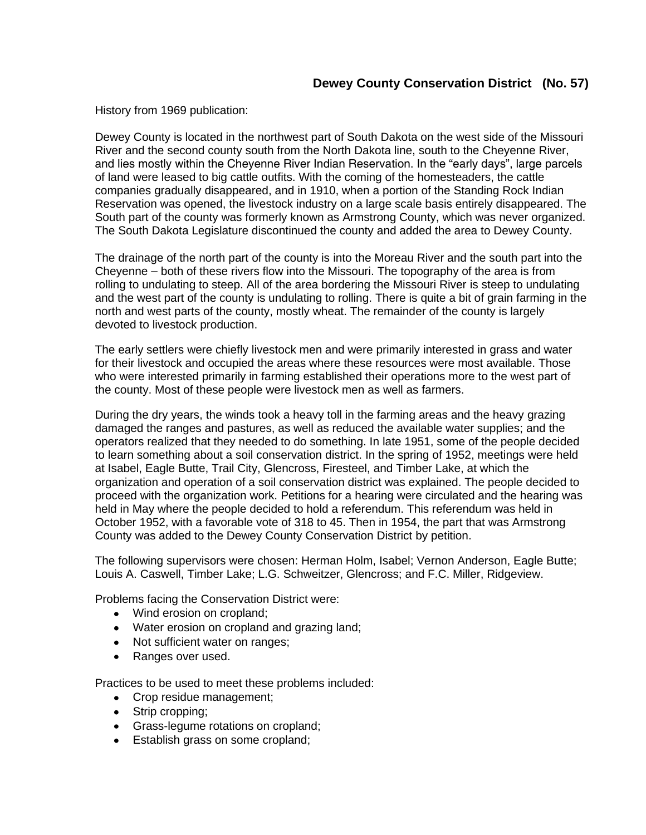## **Dewey County Conservation District (No. 57)**

History from 1969 publication:

Dewey County is located in the northwest part of South Dakota on the west side of the Missouri River and the second county south from the North Dakota line, south to the Cheyenne River, and lies mostly within the Cheyenne River Indian Reservation. In the "early days", large parcels of land were leased to big cattle outfits. With the coming of the homesteaders, the cattle companies gradually disappeared, and in 1910, when a portion of the Standing Rock Indian Reservation was opened, the livestock industry on a large scale basis entirely disappeared. The South part of the county was formerly known as Armstrong County, which was never organized. The South Dakota Legislature discontinued the county and added the area to Dewey County.

The drainage of the north part of the county is into the Moreau River and the south part into the Cheyenne – both of these rivers flow into the Missouri. The topography of the area is from rolling to undulating to steep. All of the area bordering the Missouri River is steep to undulating and the west part of the county is undulating to rolling. There is quite a bit of grain farming in the north and west parts of the county, mostly wheat. The remainder of the county is largely devoted to livestock production.

The early settlers were chiefly livestock men and were primarily interested in grass and water for their livestock and occupied the areas where these resources were most available. Those who were interested primarily in farming established their operations more to the west part of the county. Most of these people were livestock men as well as farmers.

During the dry years, the winds took a heavy toll in the farming areas and the heavy grazing damaged the ranges and pastures, as well as reduced the available water supplies; and the operators realized that they needed to do something. In late 1951, some of the people decided to learn something about a soil conservation district. In the spring of 1952, meetings were held at Isabel, Eagle Butte, Trail City, Glencross, Firesteel, and Timber Lake, at which the organization and operation of a soil conservation district was explained. The people decided to proceed with the organization work. Petitions for a hearing were circulated and the hearing was held in May where the people decided to hold a referendum. This referendum was held in October 1952, with a favorable vote of 318 to 45. Then in 1954, the part that was Armstrong County was added to the Dewey County Conservation District by petition.

The following supervisors were chosen: Herman Holm, Isabel; Vernon Anderson, Eagle Butte; Louis A. Caswell, Timber Lake; L.G. Schweitzer, Glencross; and F.C. Miller, Ridgeview.

Problems facing the Conservation District were:

- Wind erosion on cropland;
- Water erosion on cropland and grazing land;
- Not sufficient water on ranges;
- Ranges over used.

Practices to be used to meet these problems included:

- Crop residue management;
- Strip cropping;
- **Grass-legume rotations on cropland;**
- **Establish grass on some cropland;**